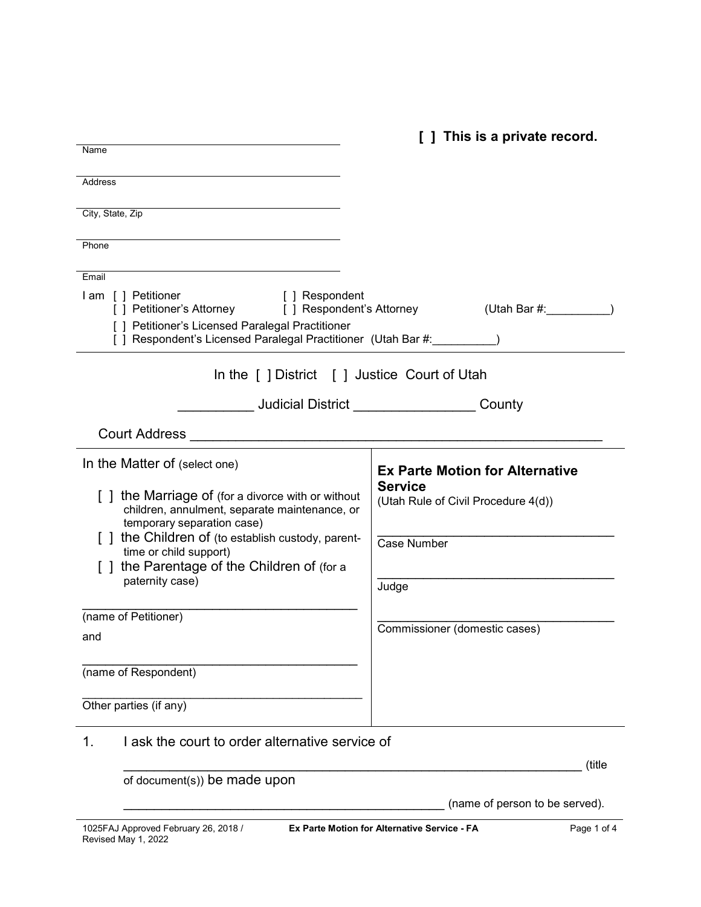|                                                                                                                   | [ ] This is a private record.                                    |
|-------------------------------------------------------------------------------------------------------------------|------------------------------------------------------------------|
| Name                                                                                                              |                                                                  |
| Address                                                                                                           |                                                                  |
| City, State, Zip                                                                                                  |                                                                  |
|                                                                                                                   |                                                                  |
| Phone                                                                                                             |                                                                  |
| Email                                                                                                             |                                                                  |
| I am [ ] Petitioner<br>[ ] Respondent<br>[ ] Petitioner's Attorney [ ] Respondent's Attorney                      | (Utah Bar $#$ :                                                  |
| [ ] Petitioner's Licensed Paralegal Practitioner<br>[ ] Respondent's Licensed Paralegal Practitioner (Utah Bar #: |                                                                  |
| In the [ ] District [ ] Justice Court of Utah                                                                     |                                                                  |
|                                                                                                                   | <b>Judicial District Analysis of the United States</b><br>County |
| <b>Court Address</b>                                                                                              |                                                                  |
| In the Matter of (select one)                                                                                     | <b>Ex Parte Motion for Alternative</b>                           |
| [ ] the Marriage of (for a divorce with or without                                                                | <b>Service</b>                                                   |
| children, annulment, separate maintenance, or                                                                     | (Utah Rule of Civil Procedure 4(d))                              |
| temporary separation case)<br>[] the Children of (to establish custody, parent-                                   | Case Number                                                      |
| time or child support)<br>the Parentage of the Children of (for a                                                 |                                                                  |
| paternity case)                                                                                                   | Judge                                                            |
| (name of Petitioner)                                                                                              |                                                                  |
| and                                                                                                               | Commissioner (domestic cases)                                    |
|                                                                                                                   |                                                                  |
| (name of Respondent)                                                                                              |                                                                  |
| Other parties (if any)                                                                                            |                                                                  |
| I ask the court to order alternative service of<br>1.                                                             |                                                                  |
|                                                                                                                   | (title                                                           |
| of document(s)) be made upon                                                                                      |                                                                  |

\_\_\_\_\_\_\_\_\_\_\_\_\_\_\_\_\_\_\_\_\_\_\_\_\_\_\_\_\_\_\_\_\_\_\_\_\_\_\_\_\_\_ (name of person to be served).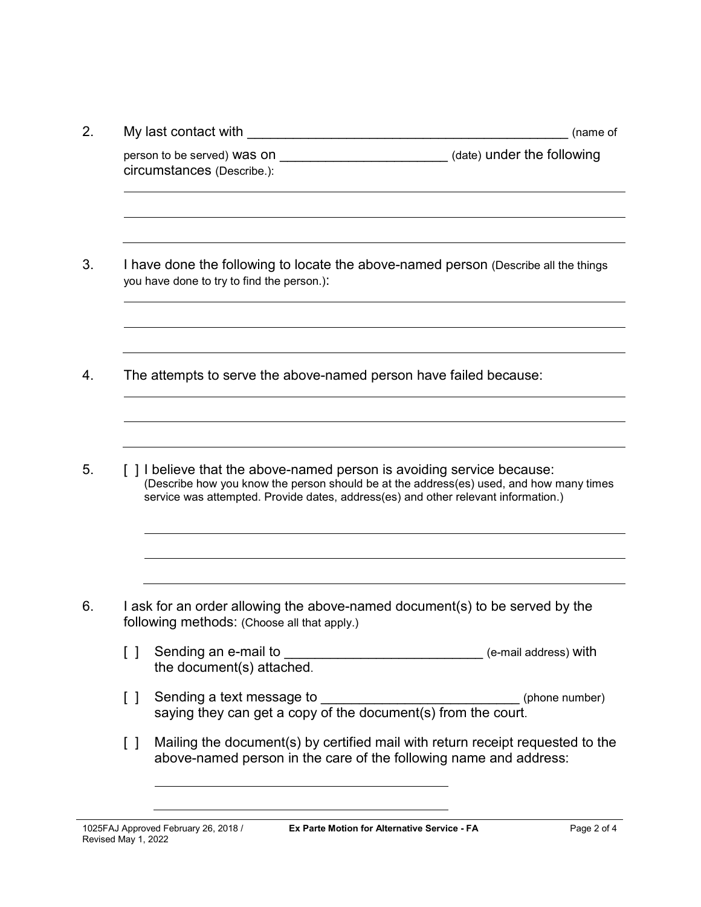|        | My last contact with<br>(name of                                                                                                                                                                                                                        |
|--------|---------------------------------------------------------------------------------------------------------------------------------------------------------------------------------------------------------------------------------------------------------|
|        | (date) under the following<br>person to be served) Was on<br>circumstances (Describe.):                                                                                                                                                                 |
|        | I have done the following to locate the above-named person (Describe all the things<br>you have done to try to find the person.):                                                                                                                       |
|        | The attempts to serve the above-named person have failed because:                                                                                                                                                                                       |
|        |                                                                                                                                                                                                                                                         |
|        | [ ] I believe that the above-named person is avoiding service because:<br>(Describe how you know the person should be at the address(es) used, and how many times<br>service was attempted. Provide dates, address(es) and other relevant information.) |
|        | I ask for an order allowing the above-named document(s) to be served by the                                                                                                                                                                             |
| $\Box$ | following methods: (Choose all that apply.)<br>Sending an e-mail to _________________________________ (e-mail address) with<br>the document(s) attached.                                                                                                |
| $\Box$ | Sending a text message to __________________________________(phone number)<br>saying they can get a copy of the document(s) from the court.                                                                                                             |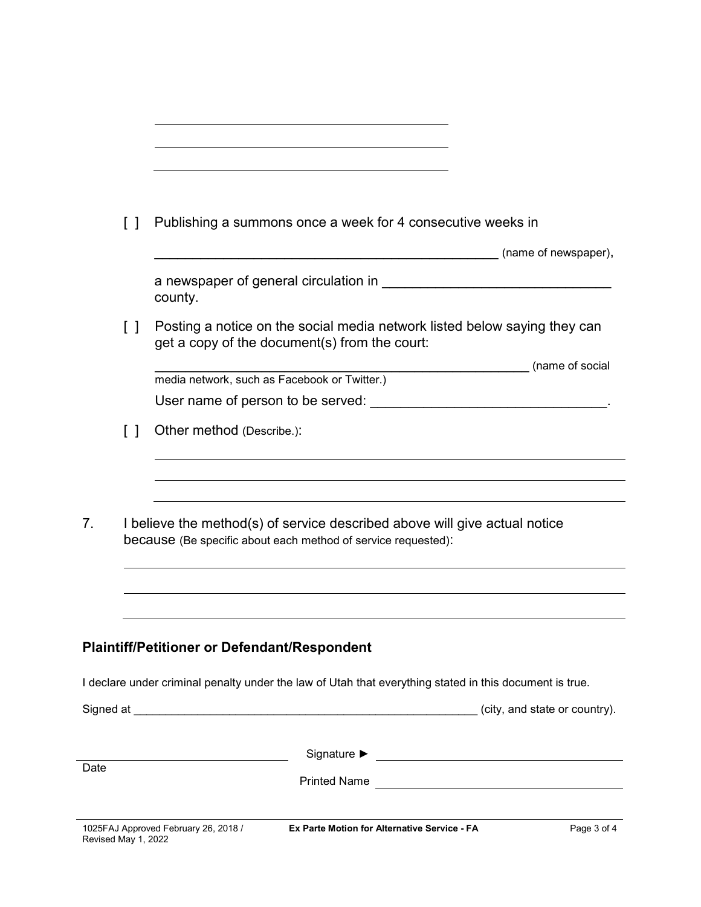|      | $\Box$              | Publishing a summons once a week for 4 consecutive weeks in                                                                                 |
|------|---------------------|---------------------------------------------------------------------------------------------------------------------------------------------|
|      |                     | (name of newspaper),                                                                                                                        |
|      |                     | county.                                                                                                                                     |
|      | $\Box$              | Posting a notice on the social media network listed below saying they can<br>get a copy of the document(s) from the court:                  |
|      |                     | (name of social<br>media network, such as Facebook or Twitter.)                                                                             |
|      |                     |                                                                                                                                             |
|      | $\Box$              | Other method (Describe.):                                                                                                                   |
|      |                     |                                                                                                                                             |
|      |                     |                                                                                                                                             |
| 7.   |                     | I believe the method(s) of service described above will give actual notice<br>because (Be specific about each method of service requested): |
|      |                     |                                                                                                                                             |
|      |                     |                                                                                                                                             |
|      |                     | <b>Plaintiff/Petitioner or Defendant/Respondent</b>                                                                                         |
|      |                     | I declare under criminal penalty under the law of Utah that everything stated in this document is true.                                     |
|      |                     | (city, and state or country).                                                                                                               |
|      |                     |                                                                                                                                             |
| Date |                     |                                                                                                                                             |
|      | Revised May 1, 2022 | 1025FAJ Approved February 26, 2018 /<br>Ex Parte Motion for Alternative Service - FA<br>Page 3 of 4                                         |

 $\overline{\phantom{a}}$